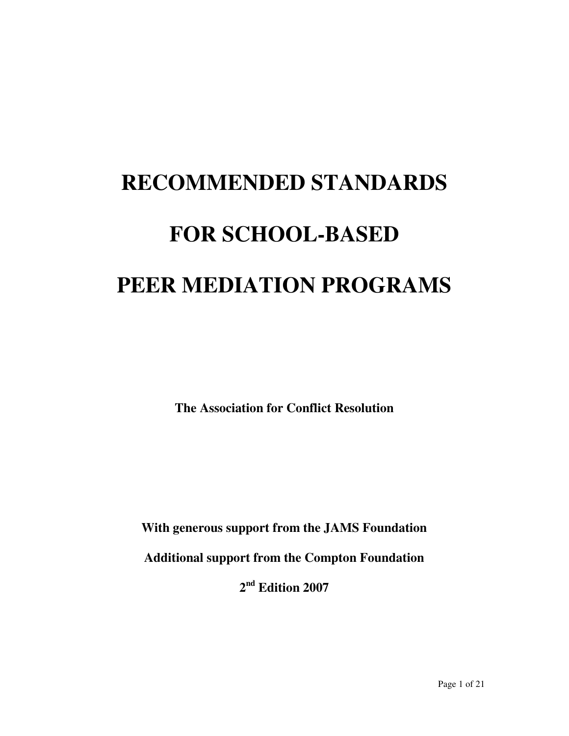# **RECOMMENDED STANDARDS FOR SCHOOL-BASED PEER MEDIATION PROGRAMS**

**The Association for Conflict Resolution** 

**With generous support from the JAMS Foundation** 

**Additional support from the Compton Foundation** 

**2 nd Edition 2007**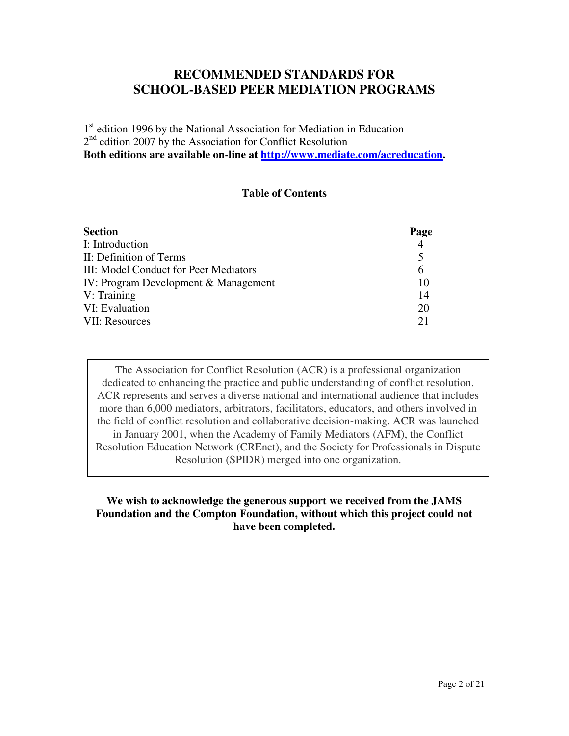# **RECOMMENDED STANDARDS FOR SCHOOL-BASED PEER MEDIATION PROGRAMS**

1<sup>st</sup> edition 1996 by the National Association for Mediation in Education 2<sup>nd</sup> edition 2007 by the Association for Conflict Resolution **Both editions are available on-line at http://www.mediate.com/acreducation.** 

## **Table of Contents**

| <b>Section</b>                        | Page |
|---------------------------------------|------|
| I: Introduction                       | 4    |
| II: Definition of Terms               | 5    |
| III: Model Conduct for Peer Mediators | 6    |
| IV: Program Development & Management  | 10   |
| V: Training                           | 14   |
| VI: Evaluation                        | 20   |
| VII: Resources                        | 21   |

The Association for Conflict Resolution (ACR) is a professional organization dedicated to enhancing the practice and public understanding of conflict resolution. ACR represents and serves a diverse national and international audience that includes more than 6,000 mediators, arbitrators, facilitators, educators, and others involved in the field of conflict resolution and collaborative decision-making. ACR was launched in January 2001, when the Academy of Family Mediators (AFM), the Conflict Resolution Education Network (CREnet), and the Society for Professionals in Dispute Resolution (SPIDR) merged into one organization.

## **We wish to acknowledge the generous support we received from the JAMS Foundation and the Compton Foundation, without which this project could not have been completed.**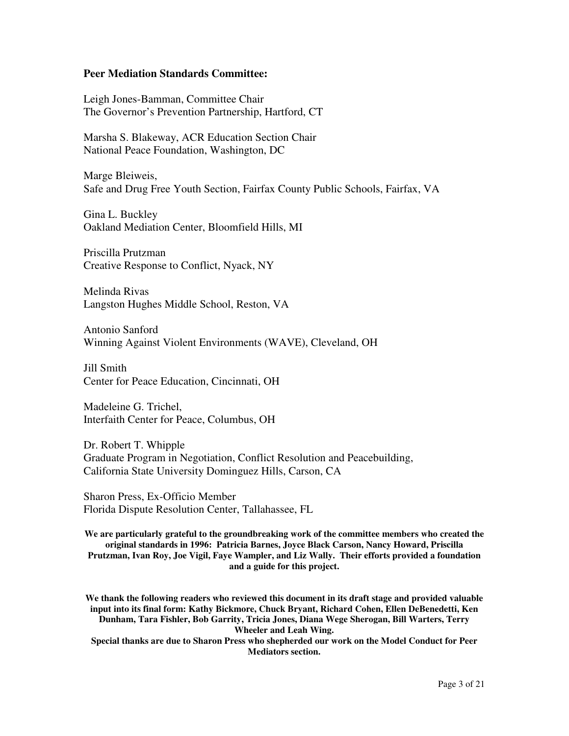#### **Peer Mediation Standards Committee:**

Leigh Jones-Bamman, Committee Chair The Governor's Prevention Partnership, Hartford, CT

Marsha S. Blakeway, ACR Education Section Chair National Peace Foundation, Washington, DC

Marge Bleiweis, Safe and Drug Free Youth Section, Fairfax County Public Schools, Fairfax, VA

Gina L. Buckley Oakland Mediation Center, Bloomfield Hills, MI

Priscilla Prutzman Creative Response to Conflict, Nyack, NY

Melinda Rivas Langston Hughes Middle School, Reston, VA

Antonio Sanford Winning Against Violent Environments (WAVE), Cleveland, OH

Jill Smith Center for Peace Education, Cincinnati, OH

Madeleine G. Trichel, Interfaith Center for Peace, Columbus, OH

Dr. Robert T. Whipple Graduate Program in Negotiation, Conflict Resolution and Peacebuilding, California State University Dominguez Hills, Carson, CA

Sharon Press, Ex-Officio Member Florida Dispute Resolution Center, Tallahassee, FL

**We are particularly grateful to the groundbreaking work of the committee members who created the original standards in 1996: Patricia Barnes, Joyce Black Carson, Nancy Howard, Priscilla Prutzman, Ivan Roy, Joe Vigil, Faye Wampler, and Liz Wally. Their efforts provided a foundation and a guide for this project.**

**We thank the following readers who reviewed this document in its draft stage and provided valuable input into its final form: Kathy Bickmore, Chuck Bryant, Richard Cohen, Ellen DeBenedetti, Ken Dunham, Tara Fishler, Bob Garrity, Tricia Jones, Diana Wege Sherogan, Bill Warters, Terry Wheeler and Leah Wing.** 

**Special thanks are due to Sharon Press who shepherded our work on the Model Conduct for Peer Mediators section.**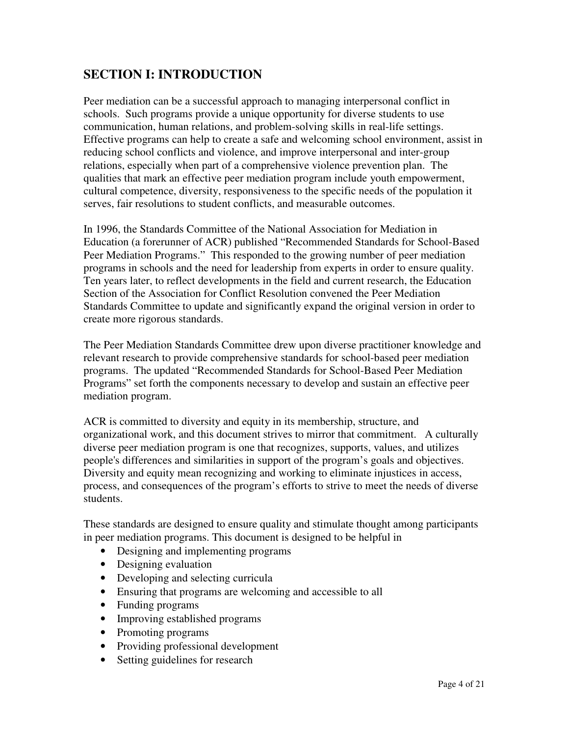# **SECTION I: INTRODUCTION**

Peer mediation can be a successful approach to managing interpersonal conflict in schools. Such programs provide a unique opportunity for diverse students to use communication, human relations, and problem-solving skills in real-life settings. Effective programs can help to create a safe and welcoming school environment, assist in reducing school conflicts and violence, and improve interpersonal and inter-group relations, especially when part of a comprehensive violence prevention plan. The qualities that mark an effective peer mediation program include youth empowerment, cultural competence, diversity, responsiveness to the specific needs of the population it serves, fair resolutions to student conflicts, and measurable outcomes.

In 1996, the Standards Committee of the National Association for Mediation in Education (a forerunner of ACR) published "Recommended Standards for School-Based Peer Mediation Programs." This responded to the growing number of peer mediation programs in schools and the need for leadership from experts in order to ensure quality. Ten years later, to reflect developments in the field and current research, the Education Section of the Association for Conflict Resolution convened the Peer Mediation Standards Committee to update and significantly expand the original version in order to create more rigorous standards.

The Peer Mediation Standards Committee drew upon diverse practitioner knowledge and relevant research to provide comprehensive standards for school-based peer mediation programs. The updated "Recommended Standards for School-Based Peer Mediation Programs" set forth the components necessary to develop and sustain an effective peer mediation program.

ACR is committed to diversity and equity in its membership, structure, and organizational work, and this document strives to mirror that commitment. A culturally diverse peer mediation program is one that recognizes, supports, values, and utilizes people's differences and similarities in support of the program's goals and objectives. Diversity and equity mean recognizing and working to eliminate injustices in access, process, and consequences of the program's efforts to strive to meet the needs of diverse students.

These standards are designed to ensure quality and stimulate thought among participants in peer mediation programs. This document is designed to be helpful in

- Designing and implementing programs
- Designing evaluation
- Developing and selecting curricula
- Ensuring that programs are welcoming and accessible to all
- Funding programs
- Improving established programs
- Promoting programs
- Providing professional development
- Setting guidelines for research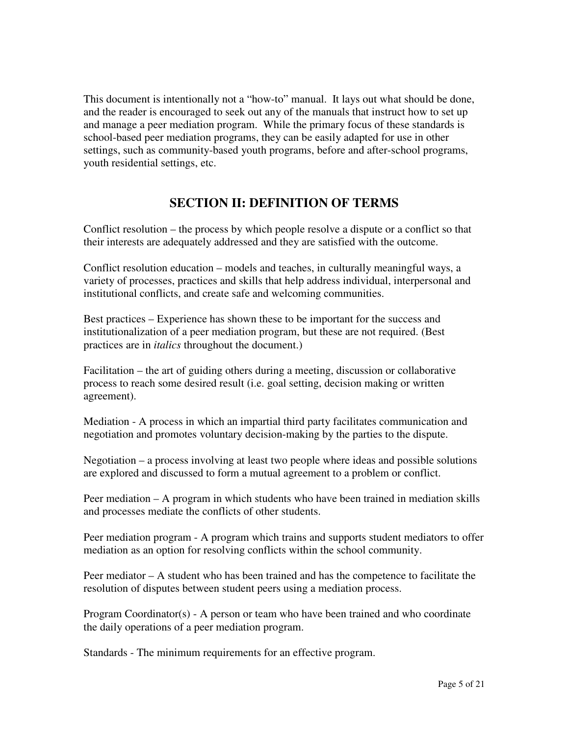This document is intentionally not a "how-to" manual. It lays out what should be done, and the reader is encouraged to seek out any of the manuals that instruct how to set up and manage a peer mediation program. While the primary focus of these standards is school-based peer mediation programs, they can be easily adapted for use in other settings, such as community-based youth programs, before and after-school programs, youth residential settings, etc.

# **SECTION II: DEFINITION OF TERMS**

Conflict resolution – the process by which people resolve a dispute or a conflict so that their interests are adequately addressed and they are satisfied with the outcome.

Conflict resolution education – models and teaches, in culturally meaningful ways, a variety of processes, practices and skills that help address individual, interpersonal and institutional conflicts, and create safe and welcoming communities.

Best practices – Experience has shown these to be important for the success and institutionalization of a peer mediation program, but these are not required. (Best practices are in *italics* throughout the document.)

Facilitation – the art of guiding others during a meeting, discussion or collaborative process to reach some desired result (i.e. goal setting, decision making or written agreement).

Mediation - A process in which an impartial third party facilitates communication and negotiation and promotes voluntary decision-making by the parties to the dispute.

Negotiation – a process involving at least two people where ideas and possible solutions are explored and discussed to form a mutual agreement to a problem or conflict.

Peer mediation – A program in which students who have been trained in mediation skills and processes mediate the conflicts of other students.

Peer mediation program - A program which trains and supports student mediators to offer mediation as an option for resolving conflicts within the school community.

Peer mediator – A student who has been trained and has the competence to facilitate the resolution of disputes between student peers using a mediation process.

Program Coordinator(s) - A person or team who have been trained and who coordinate the daily operations of a peer mediation program.

Standards - The minimum requirements for an effective program.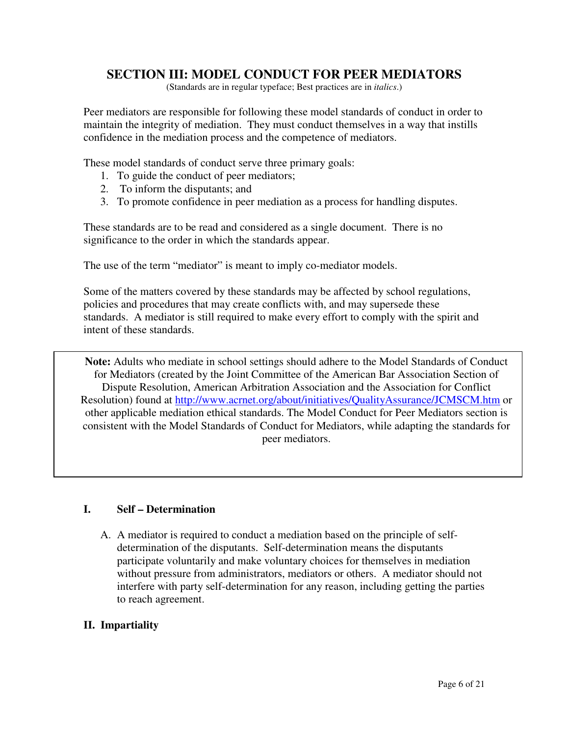# **SECTION III: MODEL CONDUCT FOR PEER MEDIATORS**

(Standards are in regular typeface; Best practices are in *italics*.)

Peer mediators are responsible for following these model standards of conduct in order to maintain the integrity of mediation. They must conduct themselves in a way that instills confidence in the mediation process and the competence of mediators.

These model standards of conduct serve three primary goals:

- 1. To guide the conduct of peer mediators;
- 2. To inform the disputants; and
- 3. To promote confidence in peer mediation as a process for handling disputes.

These standards are to be read and considered as a single document. There is no significance to the order in which the standards appear.

The use of the term "mediator" is meant to imply co-mediator models.

Some of the matters covered by these standards may be affected by school regulations, policies and procedures that may create conflicts with, and may supersede these standards. A mediator is still required to make every effort to comply with the spirit and intent of these standards.

**Note:** Adults who mediate in school settings should adhere to the Model Standards of Conduct for Mediators (created by the Joint Committee of the American Bar Association Section of Dispute Resolution, American Arbitration Association and the Association for Conflict Resolution) found at http://www.acrnet.org/about/initiatives/QualityAssurance/JCMSCM.htm or other applicable mediation ethical standards. The Model Conduct for Peer Mediators section is consistent with the Model Standards of Conduct for Mediators, while adapting the standards for peer mediators.

#### **I. Self – Determination**

A. A mediator is required to conduct a mediation based on the principle of selfdetermination of the disputants. Self-determination means the disputants participate voluntarily and make voluntary choices for themselves in mediation without pressure from administrators, mediators or others. A mediator should not interfere with party self-determination for any reason, including getting the parties to reach agreement.

# **II. Impartiality**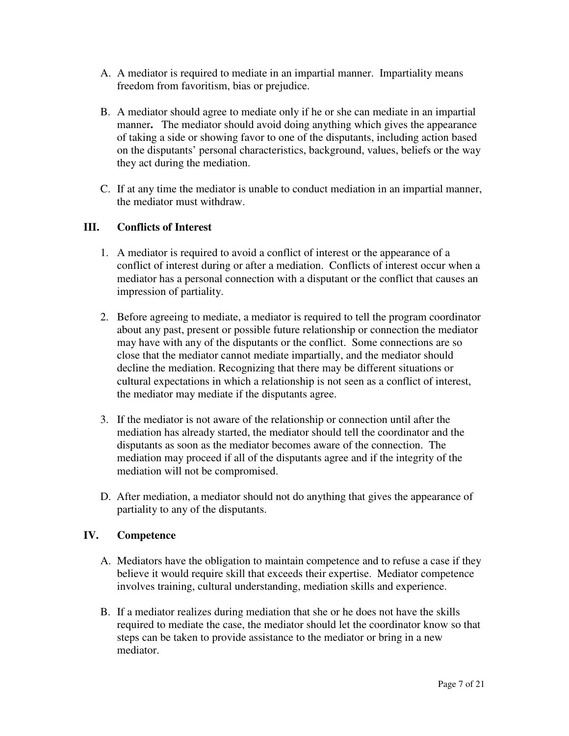- A. A mediator is required to mediate in an impartial manner. Impartiality means freedom from favoritism, bias or prejudice.
- B. A mediator should agree to mediate only if he or she can mediate in an impartial manner**.** The mediator should avoid doing anything which gives the appearance of taking a side or showing favor to one of the disputants, including action based on the disputants' personal characteristics, background, values, beliefs or the way they act during the mediation.
- C. If at any time the mediator is unable to conduct mediation in an impartial manner, the mediator must withdraw.

# **III. Conflicts of Interest**

- 1. A mediator is required to avoid a conflict of interest or the appearance of a conflict of interest during or after a mediation. Conflicts of interest occur when a mediator has a personal connection with a disputant or the conflict that causes an impression of partiality.
- 2. Before agreeing to mediate, a mediator is required to tell the program coordinator about any past, present or possible future relationship or connection the mediator may have with any of the disputants or the conflict. Some connections are so close that the mediator cannot mediate impartially, and the mediator should decline the mediation. Recognizing that there may be different situations or cultural expectations in which a relationship is not seen as a conflict of interest, the mediator may mediate if the disputants agree.
- 3. If the mediator is not aware of the relationship or connection until after the mediation has already started, the mediator should tell the coordinator and the disputants as soon as the mediator becomes aware of the connection. The mediation may proceed if all of the disputants agree and if the integrity of the mediation will not be compromised.
- D. After mediation, a mediator should not do anything that gives the appearance of partiality to any of the disputants.

# **IV. Competence**

- A. Mediators have the obligation to maintain competence and to refuse a case if they believe it would require skill that exceeds their expertise. Mediator competence involves training, cultural understanding, mediation skills and experience.
- B. If a mediator realizes during mediation that she or he does not have the skills required to mediate the case, the mediator should let the coordinator know so that steps can be taken to provide assistance to the mediator or bring in a new mediator.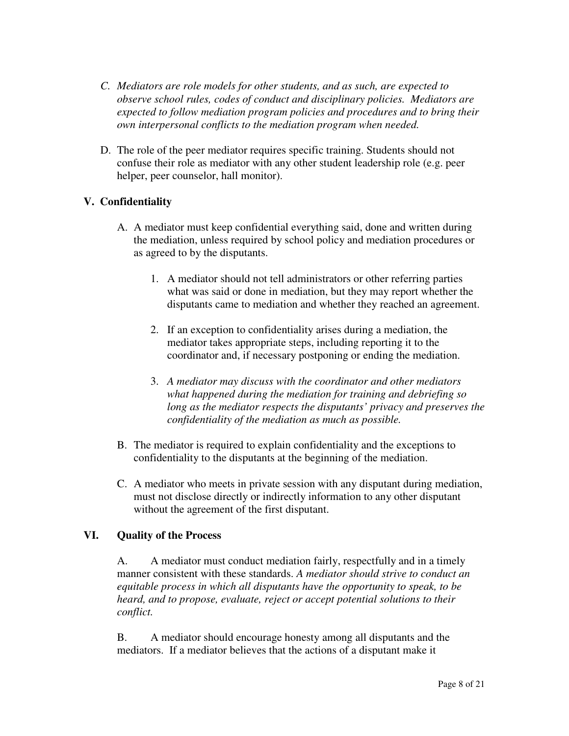- *C. Mediators are role models for other students, and as such, are expected to observe school rules, codes of conduct and disciplinary policies. Mediators are expected to follow mediation program policies and procedures and to bring their own interpersonal conflicts to the mediation program when needed.*
- D. The role of the peer mediator requires specific training. Students should not confuse their role as mediator with any other student leadership role (e.g. peer helper, peer counselor, hall monitor).

# **V. Confidentiality**

- A. A mediator must keep confidential everything said, done and written during the mediation, unless required by school policy and mediation procedures or as agreed to by the disputants.
	- 1. A mediator should not tell administrators or other referring parties what was said or done in mediation, but they may report whether the disputants came to mediation and whether they reached an agreement.
	- 2. If an exception to confidentiality arises during a mediation, the mediator takes appropriate steps, including reporting it to the coordinator and, if necessary postponing or ending the mediation.
	- 3. *A mediator may discuss with the coordinator and other mediators what happened during the mediation for training and debriefing so long as the mediator respects the disputants' privacy and preserves the confidentiality of the mediation as much as possible.*
- B. The mediator is required to explain confidentiality and the exceptions to confidentiality to the disputants at the beginning of the mediation.
- C. A mediator who meets in private session with any disputant during mediation, must not disclose directly or indirectly information to any other disputant without the agreement of the first disputant.

# **VI. Quality of the Process**

A. A mediator must conduct mediation fairly, respectfully and in a timely manner consistent with these standards. *A mediator should strive to conduct an equitable process in which all disputants have the opportunity to speak, to be heard, and to propose, evaluate, reject or accept potential solutions to their conflict.* 

B. A mediator should encourage honesty among all disputants and the mediators. If a mediator believes that the actions of a disputant make it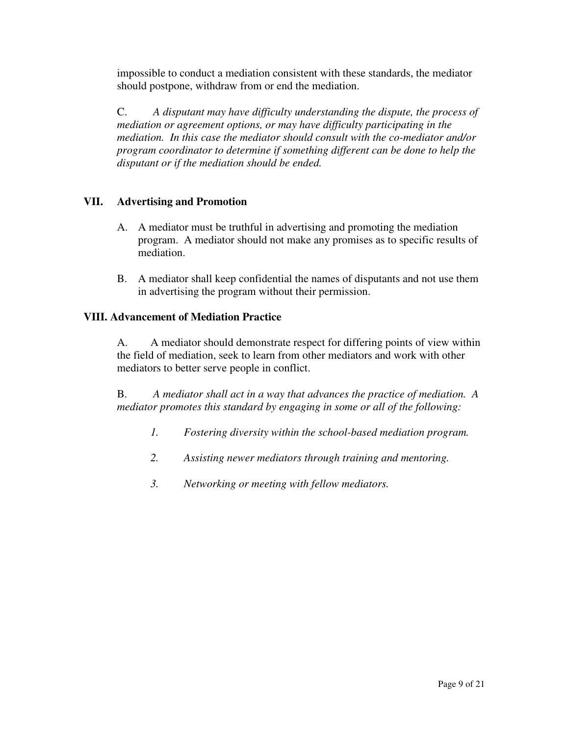impossible to conduct a mediation consistent with these standards, the mediator should postpone, withdraw from or end the mediation.

C. *A disputant may have difficulty understanding the dispute, the process of mediation or agreement options, or may have difficulty participating in the mediation. In this case the mediator should consult with the co-mediator and/or program coordinator to determine if something different can be done to help the disputant or if the mediation should be ended.* 

# **VII. Advertising and Promotion**

- A. A mediator must be truthful in advertising and promoting the mediation program. A mediator should not make any promises as to specific results of mediation.
- B. A mediator shall keep confidential the names of disputants and not use them in advertising the program without their permission.

# **VIII. Advancement of Mediation Practice**

A. A mediator should demonstrate respect for differing points of view within the field of mediation, seek to learn from other mediators and work with other mediators to better serve people in conflict.

B. *A mediator shall act in a way that advances the practice of mediation. A mediator promotes this standard by engaging in some or all of the following:*

- *1. Fostering diversity within the school-based mediation program.*
- *2. Assisting newer mediators through training and mentoring.*
- *3. Networking or meeting with fellow mediators.*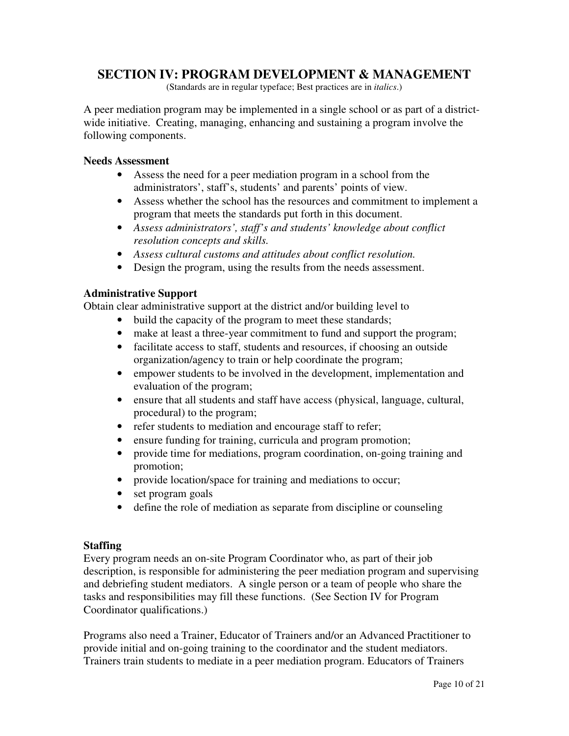# **SECTION IV: PROGRAM DEVELOPMENT & MANAGEMENT**

(Standards are in regular typeface; Best practices are in *italics*.)

A peer mediation program may be implemented in a single school or as part of a districtwide initiative. Creating, managing, enhancing and sustaining a program involve the following components.

#### **Needs Assessment**

- Assess the need for a peer mediation program in a school from the administrators', staff's, students' and parents' points of view.
- Assess whether the school has the resources and commitment to implement a program that meets the standards put forth in this document.
- *Assess administrators', staff's and students' knowledge about conflict resolution concepts and skills.*
- *Assess cultural customs and attitudes about conflict resolution.*
- Design the program, using the results from the needs assessment.

#### **Administrative Support**

Obtain clear administrative support at the district and/or building level to

- build the capacity of the program to meet these standards;
- make at least a three-year commitment to fund and support the program;
- facilitate access to staff, students and resources, if choosing an outside organization/agency to train or help coordinate the program;
- empower students to be involved in the development, implementation and evaluation of the program;
- ensure that all students and staff have access (physical, language, cultural, procedural) to the program;
- refer students to mediation and encourage staff to refer;
- ensure funding for training, curricula and program promotion;
- provide time for mediations, program coordination, on-going training and promotion;
- provide location/space for training and mediations to occur;
- set program goals
- define the role of mediation as separate from discipline or counseling

#### **Staffing**

Every program needs an on-site Program Coordinator who, as part of their job description, is responsible for administering the peer mediation program and supervising and debriefing student mediators. A single person or a team of people who share the tasks and responsibilities may fill these functions. (See Section IV for Program Coordinator qualifications.)

Programs also need a Trainer, Educator of Trainers and/or an Advanced Practitioner to provide initial and on-going training to the coordinator and the student mediators. Trainers train students to mediate in a peer mediation program. Educators of Trainers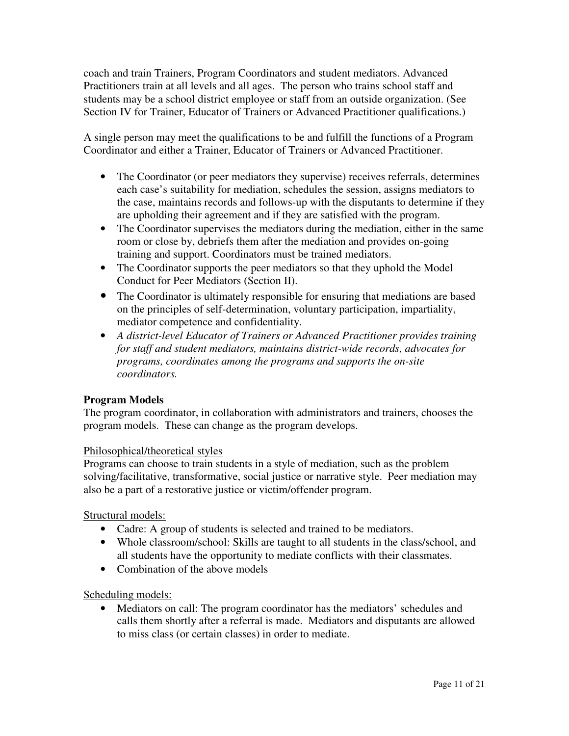coach and train Trainers, Program Coordinators and student mediators. Advanced Practitioners train at all levels and all ages. The person who trains school staff and students may be a school district employee or staff from an outside organization. (See Section IV for Trainer, Educator of Trainers or Advanced Practitioner qualifications.)

A single person may meet the qualifications to be and fulfill the functions of a Program Coordinator and either a Trainer, Educator of Trainers or Advanced Practitioner.

- The Coordinator (or peer mediators they supervise) receives referrals, determines each case's suitability for mediation, schedules the session, assigns mediators to the case, maintains records and follows-up with the disputants to determine if they are upholding their agreement and if they are satisfied with the program.
- The Coordinator supervises the mediators during the mediation, either in the same room or close by, debriefs them after the mediation and provides on-going training and support. Coordinators must be trained mediators.
- The Coordinator supports the peer mediators so that they uphold the Model Conduct for Peer Mediators (Section II).
- The Coordinator is ultimately responsible for ensuring that mediations are based on the principles of self-determination, voluntary participation, impartiality, mediator competence and confidentiality.
- *A district-level Educator of Trainers or Advanced Practitioner provides training for staff and student mediators, maintains district-wide records, advocates for programs, coordinates among the programs and supports the on-site coordinators.*

# **Program Models**

The program coordinator, in collaboration with administrators and trainers, chooses the program models. These can change as the program develops.

# Philosophical/theoretical styles

Programs can choose to train students in a style of mediation, such as the problem solving/facilitative, transformative, social justice or narrative style. Peer mediation may also be a part of a restorative justice or victim/offender program.

Structural models:

- Cadre: A group of students is selected and trained to be mediators.
- Whole classroom/school: Skills are taught to all students in the class/school, and all students have the opportunity to mediate conflicts with their classmates.
- Combination of the above models

Scheduling models:

• Mediators on call: The program coordinator has the mediators' schedules and calls them shortly after a referral is made. Mediators and disputants are allowed to miss class (or certain classes) in order to mediate.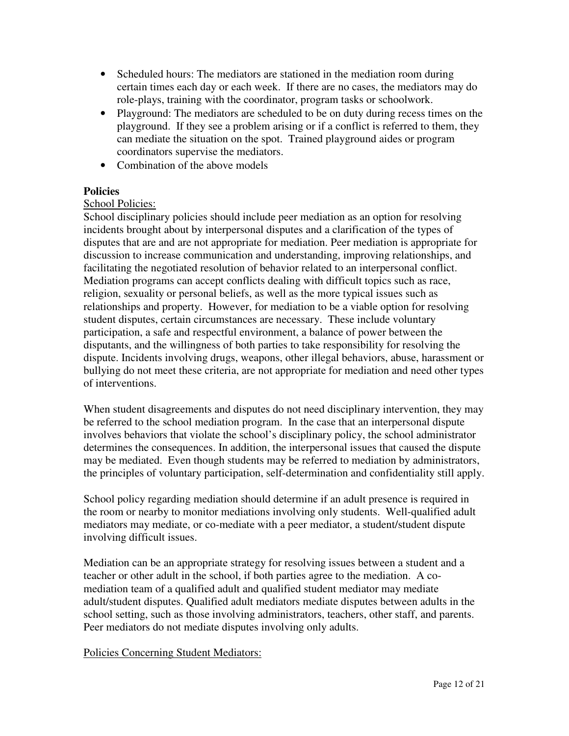- Scheduled hours: The mediators are stationed in the mediation room during certain times each day or each week. If there are no cases, the mediators may do role-plays, training with the coordinator, program tasks or schoolwork.
- Playground: The mediators are scheduled to be on duty during recess times on the playground. If they see a problem arising or if a conflict is referred to them, they can mediate the situation on the spot. Trained playground aides or program coordinators supervise the mediators.
- Combination of the above models

# **Policies**

# School Policies:

School disciplinary policies should include peer mediation as an option for resolving incidents brought about by interpersonal disputes and a clarification of the types of disputes that are and are not appropriate for mediation. Peer mediation is appropriate for discussion to increase communication and understanding, improving relationships, and facilitating the negotiated resolution of behavior related to an interpersonal conflict. Mediation programs can accept conflicts dealing with difficult topics such as race, religion, sexuality or personal beliefs, as well as the more typical issues such as relationships and property. However, for mediation to be a viable option for resolving student disputes, certain circumstances are necessary. These include voluntary participation, a safe and respectful environment, a balance of power between the disputants, and the willingness of both parties to take responsibility for resolving the dispute. Incidents involving drugs, weapons, other illegal behaviors, abuse, harassment or bullying do not meet these criteria, are not appropriate for mediation and need other types of interventions.

When student disagreements and disputes do not need disciplinary intervention, they may be referred to the school mediation program. In the case that an interpersonal dispute involves behaviors that violate the school's disciplinary policy, the school administrator determines the consequences. In addition, the interpersonal issues that caused the dispute may be mediated. Even though students may be referred to mediation by administrators, the principles of voluntary participation, self-determination and confidentiality still apply.

School policy regarding mediation should determine if an adult presence is required in the room or nearby to monitor mediations involving only students. Well-qualified adult mediators may mediate, or co-mediate with a peer mediator, a student/student dispute involving difficult issues.

Mediation can be an appropriate strategy for resolving issues between a student and a teacher or other adult in the school, if both parties agree to the mediation. A comediation team of a qualified adult and qualified student mediator may mediate adult/student disputes. Qualified adult mediators mediate disputes between adults in the school setting, such as those involving administrators, teachers, other staff, and parents. Peer mediators do not mediate disputes involving only adults.

Policies Concerning Student Mediators: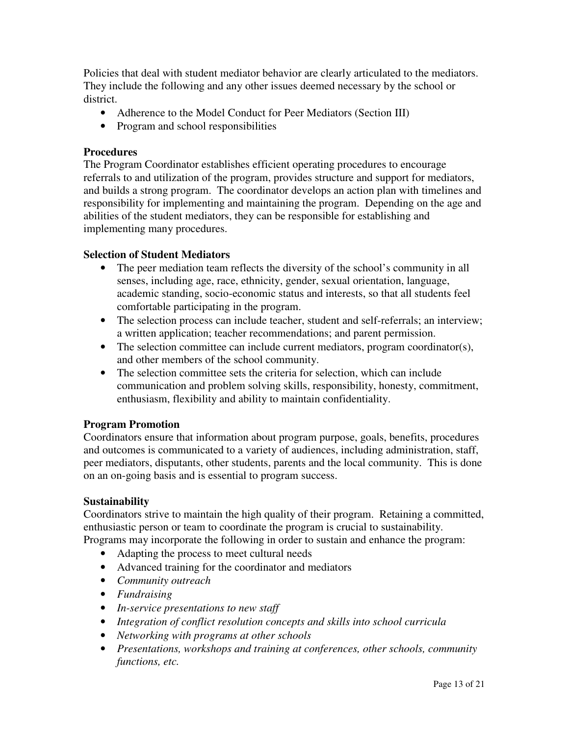Policies that deal with student mediator behavior are clearly articulated to the mediators. They include the following and any other issues deemed necessary by the school or district.

- Adherence to the Model Conduct for Peer Mediators (Section III)
- Program and school responsibilities

## **Procedures**

The Program Coordinator establishes efficient operating procedures to encourage referrals to and utilization of the program, provides structure and support for mediators, and builds a strong program. The coordinator develops an action plan with timelines and responsibility for implementing and maintaining the program. Depending on the age and abilities of the student mediators, they can be responsible for establishing and implementing many procedures.

# **Selection of Student Mediators**

- The peer mediation team reflects the diversity of the school's community in all senses, including age, race, ethnicity, gender, sexual orientation, language, academic standing, socio-economic status and interests, so that all students feel comfortable participating in the program.
- The selection process can include teacher, student and self-referrals; an interview; a written application; teacher recommendations; and parent permission.
- The selection committee can include current mediators, program coordinator(s), and other members of the school community.
- The selection committee sets the criteria for selection, which can include communication and problem solving skills, responsibility, honesty, commitment, enthusiasm, flexibility and ability to maintain confidentiality.

# **Program Promotion**

Coordinators ensure that information about program purpose, goals, benefits, procedures and outcomes is communicated to a variety of audiences, including administration, staff, peer mediators, disputants, other students, parents and the local community. This is done on an on-going basis and is essential to program success.

#### **Sustainability**

Coordinators strive to maintain the high quality of their program. Retaining a committed, enthusiastic person or team to coordinate the program is crucial to sustainability. Programs may incorporate the following in order to sustain and enhance the program:

- Adapting the process to meet cultural needs
- Advanced training for the coordinator and mediators
- *Community outreach*
- *Fundraising*
- *In-service presentations to new staff*
- *Integration of conflict resolution concepts and skills into school curricula*
- *Networking with programs at other schools*
- *Presentations, workshops and training at conferences, other schools, community functions, etc.*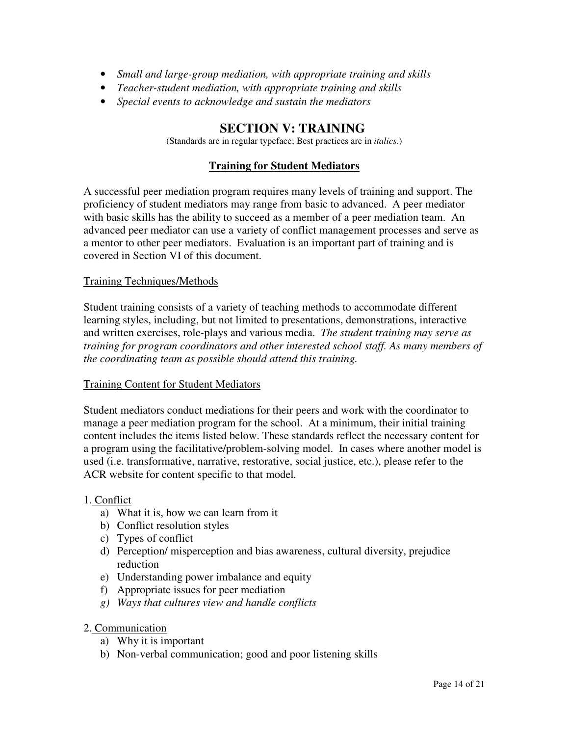- *Small and large-group mediation, with appropriate training and skills*
- *Teacher-student mediation, with appropriate training and skills*
- *Special events to acknowledge and sustain the mediators*

# **SECTION V: TRAINING**

(Standards are in regular typeface; Best practices are in *italics*.)

# **Training for Student Mediators**

A successful peer mediation program requires many levels of training and support. The proficiency of student mediators may range from basic to advanced. A peer mediator with basic skills has the ability to succeed as a member of a peer mediation team. An advanced peer mediator can use a variety of conflict management processes and serve as a mentor to other peer mediators. Evaluation is an important part of training and is covered in Section VI of this document.

## Training Techniques/Methods

Student training consists of a variety of teaching methods to accommodate different learning styles, including, but not limited to presentations, demonstrations, interactive and written exercises, role-plays and various media. *The student training may serve as training for program coordinators and other interested school staff. As many members of the coordinating team as possible should attend this training.* 

#### Training Content for Student Mediators

Student mediators conduct mediations for their peers and work with the coordinator to manage a peer mediation program for the school. At a minimum, their initial training content includes the items listed below. These standards reflect the necessary content for a program using the facilitative/problem-solving model. In cases where another model is used (i.e. transformative, narrative, restorative, social justice, etc.), please refer to the ACR website for content specific to that model*.*

#### 1. Conflict

- a) What it is, how we can learn from it
- b) Conflict resolution styles
- c) Types of conflict
- d) Perception/ misperception and bias awareness, cultural diversity, prejudice reduction
- e) Understanding power imbalance and equity
- f) Appropriate issues for peer mediation
- *g) Ways that cultures view and handle conflicts*
- 2. Communication
	- a) Why it is important
	- b) Non-verbal communication; good and poor listening skills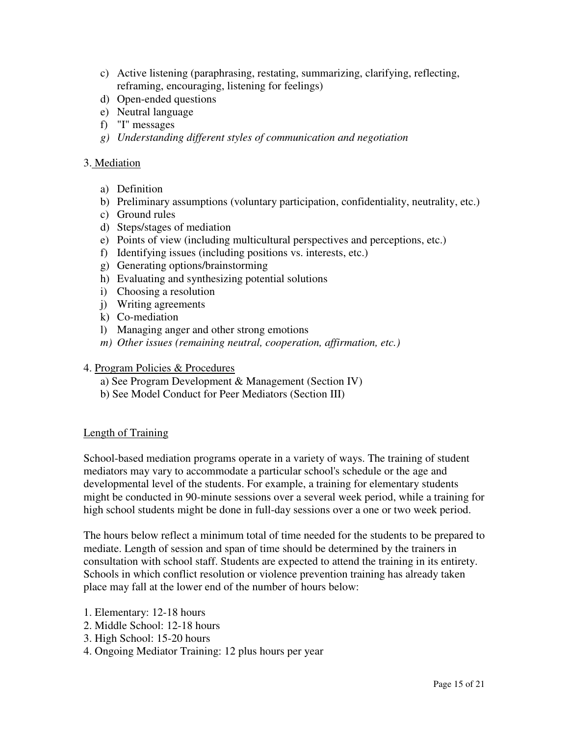- c) Active listening (paraphrasing, restating, summarizing, clarifying, reflecting, reframing, encouraging, listening for feelings)
- d) Open-ended questions
- e) Neutral language
- f) "I" messages
- *g) Understanding different styles of communication and negotiation*

#### 3. Mediation

- a) Definition
- b) Preliminary assumptions (voluntary participation, confidentiality, neutrality, etc.)
- c) Ground rules
- d) Steps/stages of mediation
- e) Points of view (including multicultural perspectives and perceptions, etc.)
- f) Identifying issues (including positions vs. interests, etc.)
- g) Generating options/brainstorming
- h) Evaluating and synthesizing potential solutions
- i) Choosing a resolution
- j) Writing agreements
- k) Co-mediation
- l) Managing anger and other strong emotions
- *m) Other issues (remaining neutral, cooperation, affirmation, etc.)*

#### 4. Program Policies & Procedures

- a) See Program Development & Management (Section IV)
- b) See Model Conduct for Peer Mediators (Section III)

#### Length of Training

School-based mediation programs operate in a variety of ways. The training of student mediators may vary to accommodate a particular school's schedule or the age and developmental level of the students. For example, a training for elementary students might be conducted in 90-minute sessions over a several week period, while a training for high school students might be done in full-day sessions over a one or two week period.

The hours below reflect a minimum total of time needed for the students to be prepared to mediate. Length of session and span of time should be determined by the trainers in consultation with school staff. Students are expected to attend the training in its entirety. Schools in which conflict resolution or violence prevention training has already taken place may fall at the lower end of the number of hours below:

- 1. Elementary: 12-18 hours
- 2. Middle School: 12-18 hours
- 3. High School: 15-20 hours
- 4. Ongoing Mediator Training: 12 plus hours per year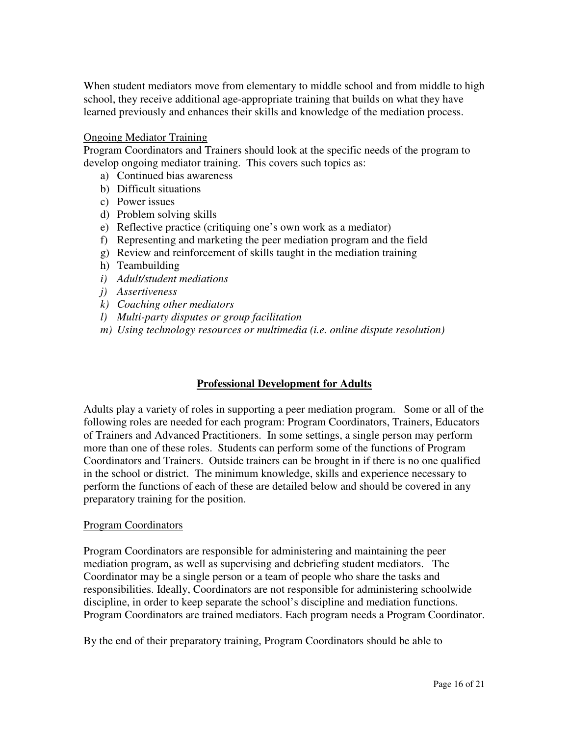When student mediators move from elementary to middle school and from middle to high school, they receive additional age-appropriate training that builds on what they have learned previously and enhances their skills and knowledge of the mediation process.

#### Ongoing Mediator Training

Program Coordinators and Trainers should look at the specific needs of the program to develop ongoing mediator training. This covers such topics as:

- a) Continued bias awareness
- b) Difficult situations
- c) Power issues
- d) Problem solving skills
- e) Reflective practice (critiquing one's own work as a mediator)
- f) Representing and marketing the peer mediation program and the field
- g) Review and reinforcement of skills taught in the mediation training
- h) Teambuilding
- *i) Adult/student mediations*
- *j) Assertiveness*
- *k) Coaching other mediators*
- *l) Multi-party disputes or group facilitation*
- *m) Using technology resources or multimedia (i.e. online dispute resolution)*

#### **Professional Development for Adults**

Adults play a variety of roles in supporting a peer mediation program. Some or all of the following roles are needed for each program: Program Coordinators, Trainers, Educators of Trainers and Advanced Practitioners. In some settings, a single person may perform more than one of these roles. Students can perform some of the functions of Program Coordinators and Trainers. Outside trainers can be brought in if there is no one qualified in the school or district. The minimum knowledge, skills and experience necessary to perform the functions of each of these are detailed below and should be covered in any preparatory training for the position.

#### Program Coordinators

Program Coordinators are responsible for administering and maintaining the peer mediation program, as well as supervising and debriefing student mediators. The Coordinator may be a single person or a team of people who share the tasks and responsibilities. Ideally, Coordinators are not responsible for administering schoolwide discipline, in order to keep separate the school's discipline and mediation functions. Program Coordinators are trained mediators. Each program needs a Program Coordinator.

By the end of their preparatory training, Program Coordinators should be able to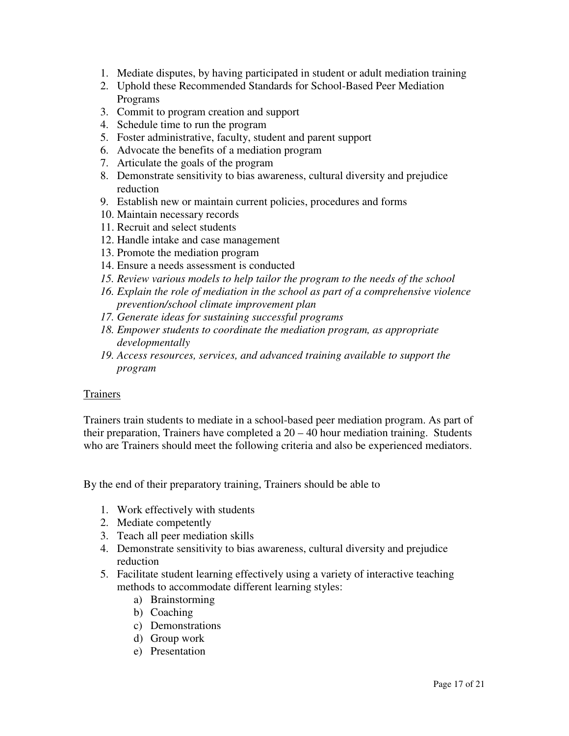- 1. Mediate disputes, by having participated in student or adult mediation training
- 2. Uphold these Recommended Standards for School-Based Peer Mediation Programs
- 3. Commit to program creation and support
- 4. Schedule time to run the program
- 5. Foster administrative, faculty, student and parent support
- 6. Advocate the benefits of a mediation program
- 7. Articulate the goals of the program
- 8. Demonstrate sensitivity to bias awareness, cultural diversity and prejudice reduction
- 9. Establish new or maintain current policies, procedures and forms
- 10. Maintain necessary records
- 11. Recruit and select students
- 12. Handle intake and case management
- 13. Promote the mediation program
- 14. Ensure a needs assessment is conducted
- *15. Review various models to help tailor the program to the needs of the school*
- *16. Explain the role of mediation in the school as part of a comprehensive violence prevention/school climate improvement plan*
- *17. Generate ideas for sustaining successful programs*
- *18. Empower students to coordinate the mediation program, as appropriate developmentally*
- *19. Access resources, services, and advanced training available to support the program*

#### Trainers

Trainers train students to mediate in a school-based peer mediation program. As part of their preparation, Trainers have completed a 20 – 40 hour mediation training. Students who are Trainers should meet the following criteria and also be experienced mediators.

By the end of their preparatory training, Trainers should be able to

- 1. Work effectively with students
- 2. Mediate competently
- 3. Teach all peer mediation skills
- 4. Demonstrate sensitivity to bias awareness, cultural diversity and prejudice reduction
- 5. Facilitate student learning effectively using a variety of interactive teaching methods to accommodate different learning styles:
	- a) Brainstorming
	- b) Coaching
	- c) Demonstrations
	- d) Group work
	- e) Presentation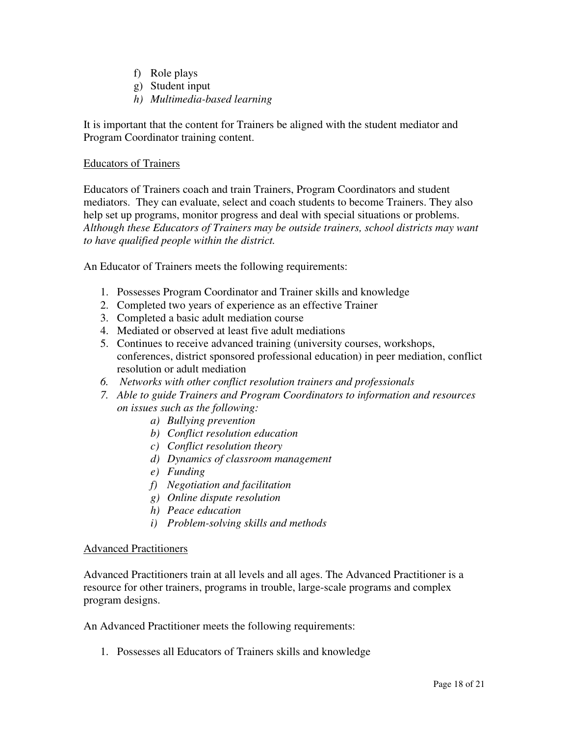- f) Role plays
- g) Student input
- *h) Multimedia-based learning*

It is important that the content for Trainers be aligned with the student mediator and Program Coordinator training content.

# Educators of Trainers

Educators of Trainers coach and train Trainers, Program Coordinators and student mediators. They can evaluate, select and coach students to become Trainers. They also help set up programs, monitor progress and deal with special situations or problems. *Although these Educators of Trainers may be outside trainers, school districts may want to have qualified people within the district.*

An Educator of Trainers meets the following requirements:

- 1. Possesses Program Coordinator and Trainer skills and knowledge
- 2. Completed two years of experience as an effective Trainer
- 3. Completed a basic adult mediation course
- 4. Mediated or observed at least five adult mediations
- 5. Continues to receive advanced training (university courses, workshops, conferences, district sponsored professional education) in peer mediation, conflict resolution or adult mediation
- *6. Networks with other conflict resolution trainers and professionals*
- *7. Able to guide Trainers and Program Coordinators to information and resources on issues such as the following:* 
	- *a) Bullying prevention*
	- *b) Conflict resolution education*
	- *c) Conflict resolution theory*
	- *d) Dynamics of classroom management*
	- *e) Funding*
	- *f) Negotiation and facilitation*
	- *g) Online dispute resolution*
	- *h) Peace education*
	- *i) Problem-solving skills and methods*

# Advanced Practitioners

Advanced Practitioners train at all levels and all ages. The Advanced Practitioner is a resource for other trainers, programs in trouble, large-scale programs and complex program designs.

An Advanced Practitioner meets the following requirements:

1. Possesses all Educators of Trainers skills and knowledge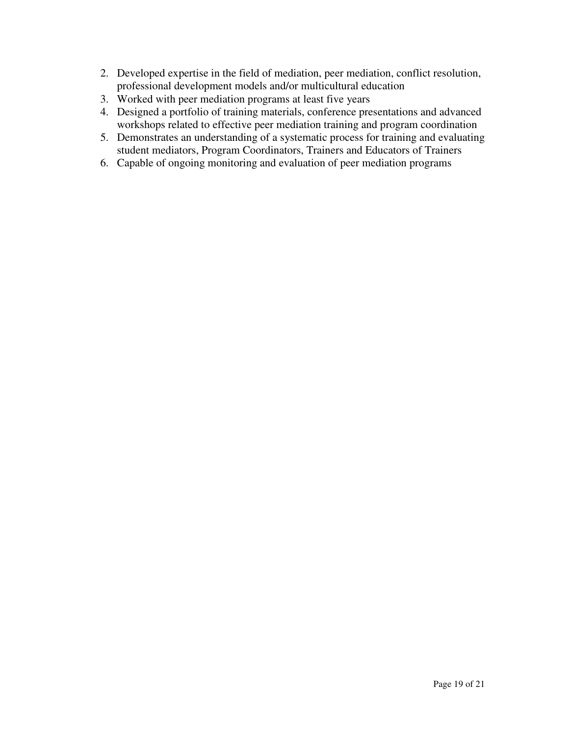- 2. Developed expertise in the field of mediation, peer mediation, conflict resolution, professional development models and/or multicultural education
- 3. Worked with peer mediation programs at least five years
- 4. Designed a portfolio of training materials, conference presentations and advanced workshops related to effective peer mediation training and program coordination
- 5. Demonstrates an understanding of a systematic process for training and evaluating student mediators, Program Coordinators, Trainers and Educators of Trainers
- 6. Capable of ongoing monitoring and evaluation of peer mediation programs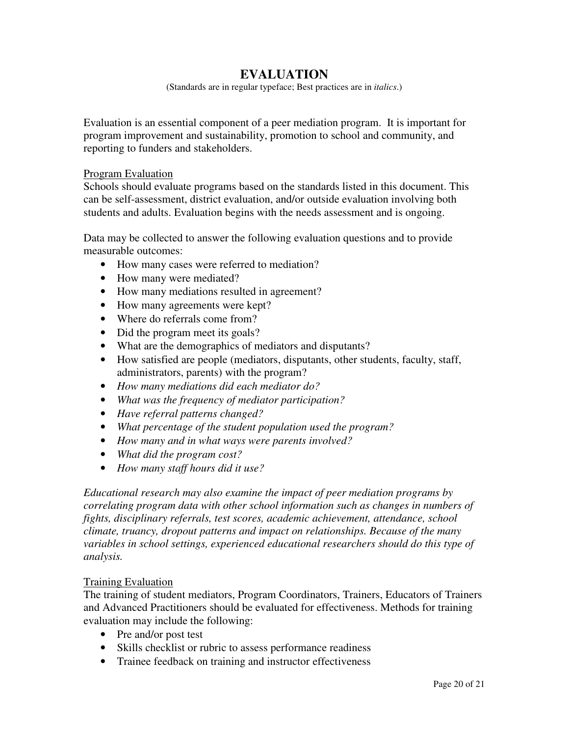# **EVALUATION**

(Standards are in regular typeface; Best practices are in *italics*.)

Evaluation is an essential component of a peer mediation program. It is important for program improvement and sustainability, promotion to school and community, and reporting to funders and stakeholders.

#### Program Evaluation

Schools should evaluate programs based on the standards listed in this document. This can be self-assessment, district evaluation, and/or outside evaluation involving both students and adults. Evaluation begins with the needs assessment and is ongoing.

Data may be collected to answer the following evaluation questions and to provide measurable outcomes:

- How many cases were referred to mediation?
- How many were mediated?
- How many mediations resulted in agreement?
- How many agreements were kept?
- Where do referrals come from?
- Did the program meet its goals?
- What are the demographics of mediators and disputants?
- How satisfied are people (mediators, disputants, other students, faculty, staff, administrators, parents) with the program?
- *How many mediations did each mediator do?*
- *What was the frequency of mediator participation?*
- *Have referral patterns changed?*
- *What percentage of the student population used the program?*
- *How many and in what ways were parents involved?*
- *What did the program cost?*
- *How many staff hours did it use?*

*Educational research may also examine the impact of peer mediation programs by correlating program data with other school information such as changes in numbers of fights, disciplinary referrals, test scores, academic achievement, attendance, school climate, truancy, dropout patterns and impact on relationships. Because of the many variables in school settings, experienced educational researchers should do this type of analysis.* 

#### Training Evaluation

The training of student mediators, Program Coordinators, Trainers, Educators of Trainers and Advanced Practitioners should be evaluated for effectiveness. Methods for training evaluation may include the following:

- Pre and/or post test
- Skills checklist or rubric to assess performance readiness
- Trainee feedback on training and instructor effectiveness